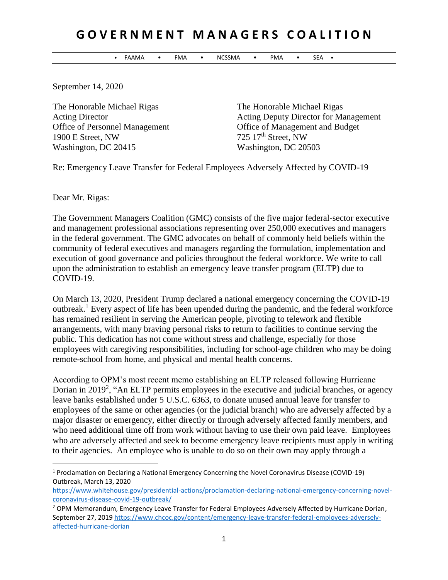## **G O V E R N M E N T M A N A G E R S C O A L I T I O N**

• FAAMA • FMA • NCSSMA • PMA • SEA •

September 14, 2020

The Honorable Michael Rigas The Honorable Michael Rigas 1900 E Street, NW 725 17<sup>th</sup> Street, NW Washington, DC 20415 Washington, DC 20503

Acting Director **Acting Deputy Director Management** Office of Personnel Management Office of Management and Budget

Re: Emergency Leave Transfer for Federal Employees Adversely Affected by COVID-19

Dear Mr. Rigas:

 $\overline{a}$ 

The Government Managers Coalition (GMC) consists of the five major federal-sector executive and management professional associations representing over 250,000 executives and managers in the federal government. The GMC advocates on behalf of commonly held beliefs within the community of federal executives and managers regarding the formulation, implementation and execution of good governance and policies throughout the federal workforce. We write to call upon the administration to establish an emergency leave transfer program (ELTP) due to COVID-19.

On March 13, 2020, President Trump declared a national emergency concerning the COVID-19 outbreak.<sup>1</sup> Every aspect of life has been upended during the pandemic, and the federal workforce has remained resilient in serving the American people, pivoting to telework and flexible arrangements, with many braving personal risks to return to facilities to continue serving the public. This dedication has not come without stress and challenge, especially for those employees with caregiving responsibilities, including for school-age children who may be doing remote-school from home, and physical and mental health concerns.

According to OPM's most recent memo establishing an ELTP released following Hurricane Dorian in 2019<sup>2</sup>, "An ELTP permits employees in the executive and judicial branches, or agency leave banks established under 5 U.S.C. 6363, to donate unused annual leave for transfer to employees of the same or other agencies (or the judicial branch) who are adversely affected by a major disaster or emergency, either directly or through adversely affected family members, and who need additional time off from work without having to use their own paid leave. Employees who are adversely affected and seek to become emergency leave recipients must apply in writing to their agencies. An employee who is unable to do so on their own may apply through a

<sup>1</sup> Proclamation on Declaring a National Emergency Concerning the Novel Coronavirus Disease (COVID-19) Outbreak, March 13, 2020

[https://www.whitehouse.gov/presidential-actions/proclamation-declaring-national-emergency-concerning-novel](https://www.whitehouse.gov/presidential-actions/proclamation-declaring-national-emergency-concerning-novel-coronavirus-disease-covid-19-outbreak/)[coronavirus-disease-covid-19-outbreak/](https://www.whitehouse.gov/presidential-actions/proclamation-declaring-national-emergency-concerning-novel-coronavirus-disease-covid-19-outbreak/)

<sup>&</sup>lt;sup>2</sup> OPM Memorandum, Emergency Leave Transfer for Federal Employees Adversely Affected by Hurricane Dorian, September 27, 201[9 https://www.chcoc.gov/content/emergency-leave-transfer-federal-employees-adversely](https://www.chcoc.gov/content/emergency-leave-transfer-federal-employees-adversely-affected-hurricane-dorian)[affected-hurricane-dorian](https://www.chcoc.gov/content/emergency-leave-transfer-federal-employees-adversely-affected-hurricane-dorian)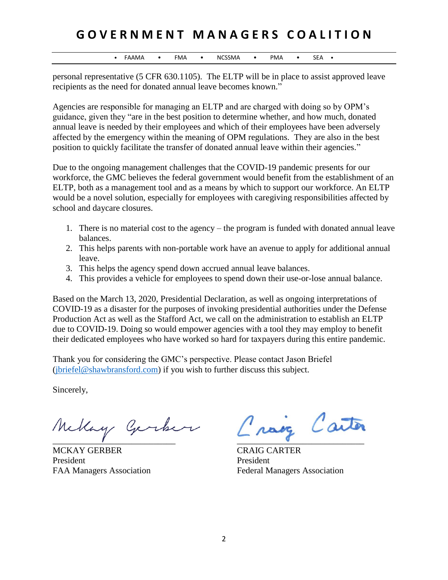## **G O V E R N M E N T M A N A G E R S C O A L I T I O N**

• FAAMA • FMA • NCSSMA • PMA • SEA •

personal representative (5 CFR 630.1105). The ELTP will be in place to assist approved leave recipients as the need for donated annual leave becomes known."

Agencies are responsible for managing an ELTP and are charged with doing so by OPM's guidance, given they "are in the best position to determine whether, and how much, donated annual leave is needed by their employees and which of their employees have been adversely affected by the emergency within the meaning of OPM regulations. They are also in the best position to quickly facilitate the transfer of donated annual leave within their agencies."

Due to the ongoing management challenges that the COVID-19 pandemic presents for our workforce, the GMC believes the federal government would benefit from the establishment of an ELTP, both as a management tool and as a means by which to support our workforce. An ELTP would be a novel solution, especially for employees with caregiving responsibilities affected by school and daycare closures.

- 1. There is no material cost to the agency the program is funded with donated annual leave balances.
- 2. This helps parents with non-portable work have an avenue to apply for additional annual leave.
- 3. This helps the agency spend down accrued annual leave balances.
- 4. This provides a vehicle for employees to spend down their use-or-lose annual balance.

Based on the March 13, 2020, Presidential Declaration, as well as ongoing interpretations of COVID-19 as a disaster for the purposes of invoking presidential authorities under the Defense Production Act as well as the Stafford Act, we call on the administration to establish an ELTP due to COVID-19. Doing so would empower agencies with a tool they may employ to benefit their dedicated employees who have worked so hard for taxpayers during this entire pandemic.

Thank you for considering the GMC's perspective. Please contact Jason Briefel [\(jbriefel@shawbransford.com\)](mailto:jbriefel@shawbransford.com) if you wish to further discuss this subject.

Sincerely,

 $\overline{a}$  , and the contract of the contract of the contract of the contract of the contract of the contract of the contract of the contract of the contract of the contract of the contract of the contract of the contract o

MCKAY GERBER CRAIG CARTER President President

Carter nove

FAA Managers Association Federal Managers Association